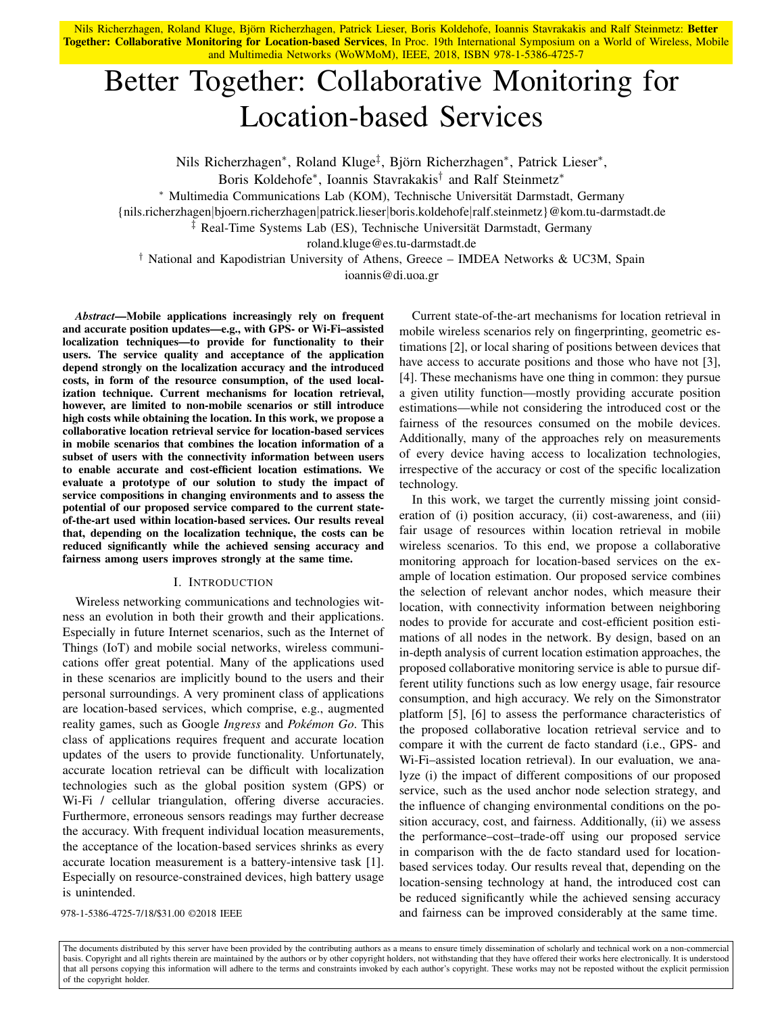# Better Together: Collaborative Monitoring for Location-based Services

Nils Richerzhagen<sup>∗</sup>, Roland Kluge<sup>‡</sup>, Björn Richerzhagen<sup>∗</sup>, Patrick Lieser<sup>∗</sup>,

Boris Koldehofe<sup>∗</sup> , Ioannis Stavrakakis† and Ralf Steinmetz<sup>∗</sup>

<sup>∗</sup> Multimedia Communications Lab (KOM), Technische Universität Darmstadt, Germany

{nils.richerzhagen|bjoern.richerzhagen|patrick.lieser|boris.koldehofe|ralf.steinmetz}@kom.tu-darmstadt.de

‡ Real-Time Systems Lab (ES), Technische Universität Darmstadt, Germany

roland.kluge@es.tu-darmstadt.de

† National and Kapodistrian University of Athens, Greece – IMDEA Networks & UC3M, Spain

ioannis@di.uoa.gr

*Abstract*—Mobile applications increasingly rely on frequent and accurate position updates—e.g., with GPS- or Wi-Fi–assisted localization techniques—to provide for functionality to their users. The service quality and acceptance of the application depend strongly on the localization accuracy and the introduced costs, in form of the resource consumption, of the used localization technique. Current mechanisms for location retrieval, however, are limited to non-mobile scenarios or still introduce high costs while obtaining the location. In this work, we propose a collaborative location retrieval service for location-based services in mobile scenarios that combines the location information of a subset of users with the connectivity information between users to enable accurate and cost-efficient location estimations. We evaluate a prototype of our solution to study the impact of service compositions in changing environments and to assess the potential of our proposed service compared to the current stateof-the-art used within location-based services. Our results reveal that, depending on the localization technique, the costs can be reduced significantly while the achieved sensing accuracy and fairness among users improves strongly at the same time.

#### I. INTRODUCTION

Wireless networking communications and technologies witness an evolution in both their growth and their applications. Especially in future Internet scenarios, such as the Internet of Things (IoT) and mobile social networks, wireless communications offer great potential. Many of the applications used in these scenarios are implicitly bound to the users and their personal surroundings. A very prominent class of applications are location-based services, which comprise, e.g., augmented reality games, such as Google *Ingress* and *Pokémon Go*. This class of applications requires frequent and accurate location updates of the users to provide functionality. Unfortunately, accurate location retrieval can be difficult with localization technologies such as the global position system (GPS) or Wi-Fi / cellular triangulation, offering diverse accuracies. Furthermore, erroneous sensors readings may further decrease the accuracy. With frequent individual location measurements, the acceptance of the location-based services shrinks as every accurate location measurement is a battery-intensive task [1]. Especially on resource-constrained devices, high battery usage is unintended.

Current state-of-the-art mechanisms for location retrieval in mobile wireless scenarios rely on fingerprinting, geometric estimations [2], or local sharing of positions between devices that have access to accurate positions and those who have not [3], [4]. These mechanisms have one thing in common: they pursue a given utility function—mostly providing accurate position estimations—while not considering the introduced cost or the fairness of the resources consumed on the mobile devices. Additionally, many of the approaches rely on measurements of every device having access to localization technologies, irrespective of the accuracy or cost of the specific localization technology.

In this work, we target the currently missing joint consideration of (i) position accuracy, (ii) cost-awareness, and (iii) fair usage of resources within location retrieval in mobile wireless scenarios. To this end, we propose a collaborative monitoring approach for location-based services on the example of location estimation. Our proposed service combines the selection of relevant anchor nodes, which measure their location, with connectivity information between neighboring nodes to provide for accurate and cost-efficient position estimations of all nodes in the network. By design, based on an in-depth analysis of current location estimation approaches, the proposed collaborative monitoring service is able to pursue different utility functions such as low energy usage, fair resource consumption, and high accuracy. We rely on the Simonstrator platform [5], [6] to assess the performance characteristics of the proposed collaborative location retrieval service and to compare it with the current de facto standard (i.e., GPS- and Wi-Fi–assisted location retrieval). In our evaluation, we analyze (i) the impact of different compositions of our proposed service, such as the used anchor node selection strategy, and the influence of changing environmental conditions on the position accuracy, cost, and fairness. Additionally, (ii) we assess the performance–cost–trade-off using our proposed service in comparison with the de facto standard used for locationbased services today. Our results reveal that, depending on the location-sensing technology at hand, the introduced cost can be reduced significantly while the achieved sensing accuracy 978-1-5386-4725-7/18/\$31.00 ©2018 IEEE and fairness can be improved considerably at the same time.

The documents distributed by this server have been provided by the contributing authors as a means to ensure timely dissemination of scholarly and technical work on a non-commercial basis. Copyright and all rights therein are maintained by the authors or by other copyright holders, not withstanding that they have offered their works here electronically. It is understood that all persons copying this information will adhere to the terms and constraints invoked by each author's copyright. These works may not be reposted without the explicit permission of the copyright holder.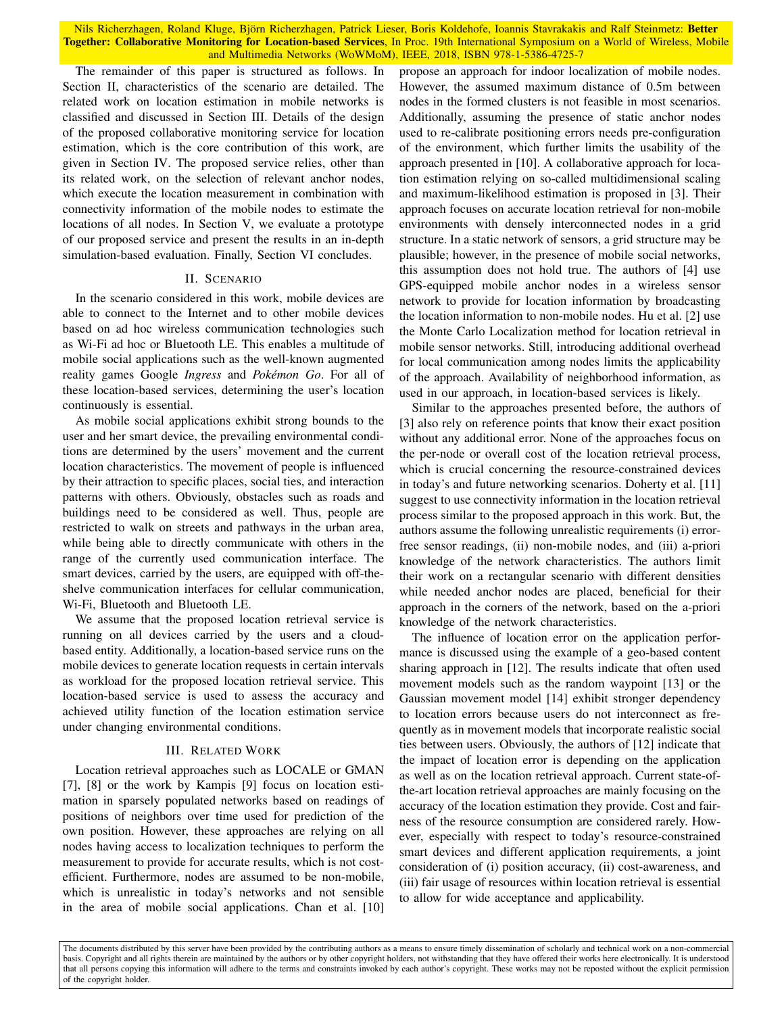The remainder of this paper is structured as follows. In Section II, characteristics of the scenario are detailed. The related work on location estimation in mobile networks is classified and discussed in Section III. Details of the design of the proposed collaborative monitoring service for location estimation, which is the core contribution of this work, are given in Section IV. The proposed service relies, other than its related work, on the selection of relevant anchor nodes, which execute the location measurement in combination with connectivity information of the mobile nodes to estimate the locations of all nodes. In Section V, we evaluate a prototype of our proposed service and present the results in an in-depth simulation-based evaluation. Finally, Section VI concludes.

# II. SCENARIO

In the scenario considered in this work, mobile devices are able to connect to the Internet and to other mobile devices based on ad hoc wireless communication technologies such as Wi-Fi ad hoc or Bluetooth LE. This enables a multitude of mobile social applications such as the well-known augmented reality games Google *Ingress* and *Pokémon Go*. For all of these location-based services, determining the user's location continuously is essential.

As mobile social applications exhibit strong bounds to the user and her smart device, the prevailing environmental conditions are determined by the users' movement and the current location characteristics. The movement of people is influenced by their attraction to specific places, social ties, and interaction patterns with others. Obviously, obstacles such as roads and buildings need to be considered as well. Thus, people are restricted to walk on streets and pathways in the urban area, while being able to directly communicate with others in the range of the currently used communication interface. The smart devices, carried by the users, are equipped with off-theshelve communication interfaces for cellular communication, Wi-Fi, Bluetooth and Bluetooth LE.

We assume that the proposed location retrieval service is running on all devices carried by the users and a cloudbased entity. Additionally, a location-based service runs on the mobile devices to generate location requests in certain intervals as workload for the proposed location retrieval service. This location-based service is used to assess the accuracy and achieved utility function of the location estimation service under changing environmental conditions.

# III. RELATED WORK

Location retrieval approaches such as LOCALE or GMAN [7], [8] or the work by Kampis [9] focus on location estimation in sparsely populated networks based on readings of positions of neighbors over time used for prediction of the own position. However, these approaches are relying on all nodes having access to localization techniques to perform the measurement to provide for accurate results, which is not costefficient. Furthermore, nodes are assumed to be non-mobile, which is unrealistic in today's networks and not sensible in the area of mobile social applications. Chan et al. [10] propose an approach for indoor localization of mobile nodes. However, the assumed maximum distance of 0.5m between nodes in the formed clusters is not feasible in most scenarios. Additionally, assuming the presence of static anchor nodes used to re-calibrate positioning errors needs pre-configuration of the environment, which further limits the usability of the approach presented in [10]. A collaborative approach for location estimation relying on so-called multidimensional scaling and maximum-likelihood estimation is proposed in [3]. Their approach focuses on accurate location retrieval for non-mobile environments with densely interconnected nodes in a grid structure. In a static network of sensors, a grid structure may be plausible; however, in the presence of mobile social networks, this assumption does not hold true. The authors of [4] use GPS-equipped mobile anchor nodes in a wireless sensor network to provide for location information by broadcasting the location information to non-mobile nodes. Hu et al. [2] use the Monte Carlo Localization method for location retrieval in mobile sensor networks. Still, introducing additional overhead for local communication among nodes limits the applicability of the approach. Availability of neighborhood information, as used in our approach, in location-based services is likely.

Similar to the approaches presented before, the authors of [3] also rely on reference points that know their exact position without any additional error. None of the approaches focus on the per-node or overall cost of the location retrieval process, which is crucial concerning the resource-constrained devices in today's and future networking scenarios. Doherty et al. [11] suggest to use connectivity information in the location retrieval process similar to the proposed approach in this work. But, the authors assume the following unrealistic requirements (i) errorfree sensor readings, (ii) non-mobile nodes, and (iii) a-priori knowledge of the network characteristics. The authors limit their work on a rectangular scenario with different densities while needed anchor nodes are placed, beneficial for their approach in the corners of the network, based on the a-priori knowledge of the network characteristics.

The influence of location error on the application performance is discussed using the example of a geo-based content sharing approach in [12]. The results indicate that often used movement models such as the random waypoint [13] or the Gaussian movement model [14] exhibit stronger dependency to location errors because users do not interconnect as frequently as in movement models that incorporate realistic social ties between users. Obviously, the authors of [12] indicate that the impact of location error is depending on the application as well as on the location retrieval approach. Current state-ofthe-art location retrieval approaches are mainly focusing on the accuracy of the location estimation they provide. Cost and fairness of the resource consumption are considered rarely. However, especially with respect to today's resource-constrained smart devices and different application requirements, a joint consideration of (i) position accuracy, (ii) cost-awareness, and (iii) fair usage of resources within location retrieval is essential to allow for wide acceptance and applicability.

The documents distributed by this server have been provided by the contributing authors as a means to ensure timely dissemination of scholarly and technical work on a non-commercial basis. Copyright and all rights therein are maintained by the authors or by other copyright holders, not withstanding that they have offered their works here electronically. It is understood that all persons copying this information will adhere to the terms and constraints invoked by each author's copyright. These works may not be reposted without the explicit permission of the copyright holder.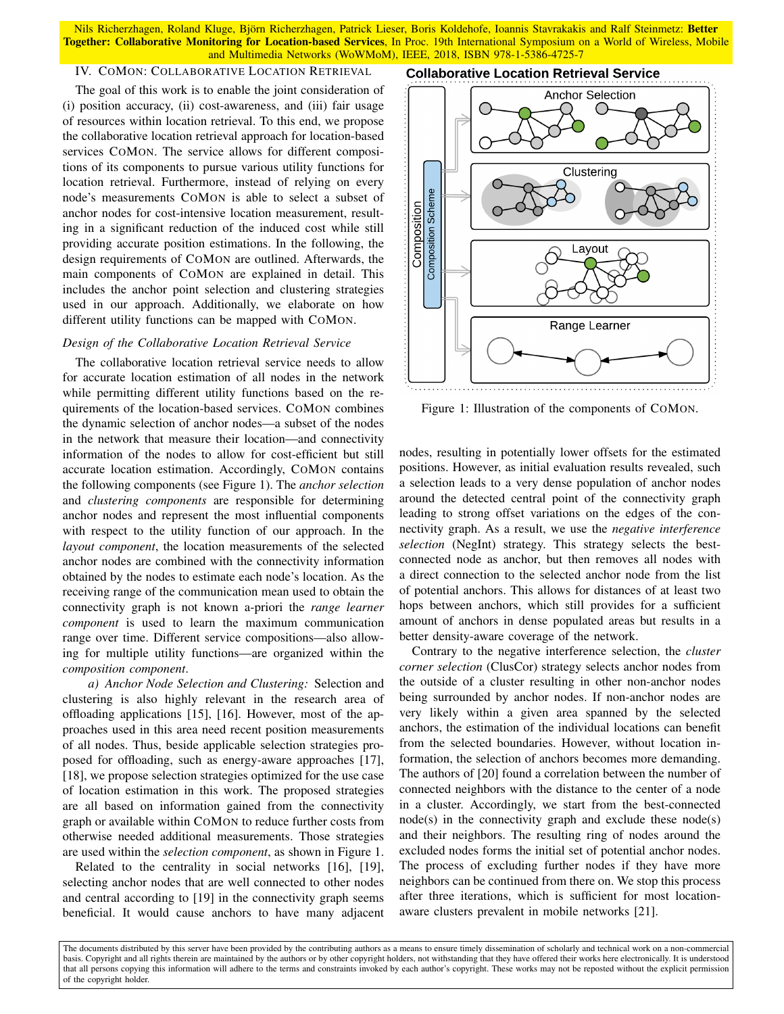# IV. COMON: COLLABORATIVE LOCATION RETRIEVAL

The goal of this work is to enable the joint consideration of (i) position accuracy, (ii) cost-awareness, and (iii) fair usage of resources within location retrieval. To this end, we propose the collaborative location retrieval approach for location-based services COMON. The service allows for different compositions of its components to pursue various utility functions for location retrieval. Furthermore, instead of relying on every node's measurements COMON is able to select a subset of anchor nodes for cost-intensive location measurement, resulting in a significant reduction of the induced cost while still providing accurate position estimations. In the following, the design requirements of COMON are outlined. Afterwards, the main components of COMON are explained in detail. This includes the anchor point selection and clustering strategies used in our approach. Additionally, we elaborate on how different utility functions can be mapped with COMON.

# *Design of the Collaborative Location Retrieval Service*

The collaborative location retrieval service needs to allow for accurate location estimation of all nodes in the network while permitting different utility functions based on the requirements of the location-based services. COMON combines the dynamic selection of anchor nodes—a subset of the nodes in the network that measure their location—and connectivity information of the nodes to allow for cost-efficient but still accurate location estimation. Accordingly, COMON contains the following components (see Figure 1). The *anchor selection* and *clustering components* are responsible for determining anchor nodes and represent the most influential components with respect to the utility function of our approach. In the *layout component*, the location measurements of the selected anchor nodes are combined with the connectivity information obtained by the nodes to estimate each node's location. As the receiving range of the communication mean used to obtain the connectivity graph is not known a-priori the *range learner component* is used to learn the maximum communication range over time. Different service compositions—also allowing for multiple utility functions—are organized within the *composition component*.

*a) Anchor Node Selection and Clustering:* Selection and clustering is also highly relevant in the research area of offloading applications [15], [16]. However, most of the approaches used in this area need recent position measurements of all nodes. Thus, beside applicable selection strategies proposed for offloading, such as energy-aware approaches [17], [18], we propose selection strategies optimized for the use case of location estimation in this work. The proposed strategies are all based on information gained from the connectivity graph or available within COMON to reduce further costs from otherwise needed additional measurements. Those strategies are used within the *selection component*, as shown in Figure 1.

Related to the centrality in social networks [16], [19], selecting anchor nodes that are well connected to other nodes and central according to [19] in the connectivity graph seems beneficial. It would cause anchors to have many adjacent

#### **Collaborative Location Retrieval Service**



Figure 1: Illustration of the components of COMON.

nodes, resulting in potentially lower offsets for the estimated positions. However, as initial evaluation results revealed, such a selection leads to a very dense population of anchor nodes around the detected central point of the connectivity graph leading to strong offset variations on the edges of the connectivity graph. As a result, we use the *negative interference selection* (NegInt) strategy. This strategy selects the bestconnected node as anchor, but then removes all nodes with a direct connection to the selected anchor node from the list of potential anchors. This allows for distances of at least two hops between anchors, which still provides for a sufficient amount of anchors in dense populated areas but results in a better density-aware coverage of the network.

Contrary to the negative interference selection, the *cluster corner selection* (ClusCor) strategy selects anchor nodes from the outside of a cluster resulting in other non-anchor nodes being surrounded by anchor nodes. If non-anchor nodes are very likely within a given area spanned by the selected anchors, the estimation of the individual locations can benefit from the selected boundaries. However, without location information, the selection of anchors becomes more demanding. The authors of [20] found a correlation between the number of connected neighbors with the distance to the center of a node in a cluster. Accordingly, we start from the best-connected node(s) in the connectivity graph and exclude these node(s) and their neighbors. The resulting ring of nodes around the excluded nodes forms the initial set of potential anchor nodes. The process of excluding further nodes if they have more neighbors can be continued from there on. We stop this process after three iterations, which is sufficient for most locationaware clusters prevalent in mobile networks [21].

The documents distributed by this server have been provided by the contributing authors as a means to ensure timely dissemination of scholarly and technical work on a non-commercial basis. Copyright and all rights therein are maintained by the authors or by other copyright holders, not withstanding that they have offered their works here electronically. It is understood that all persons copying this information will adhere to the terms and constraints invoked by each author's copyright. These works may not be reposted without the explicit permission of the copyright holder.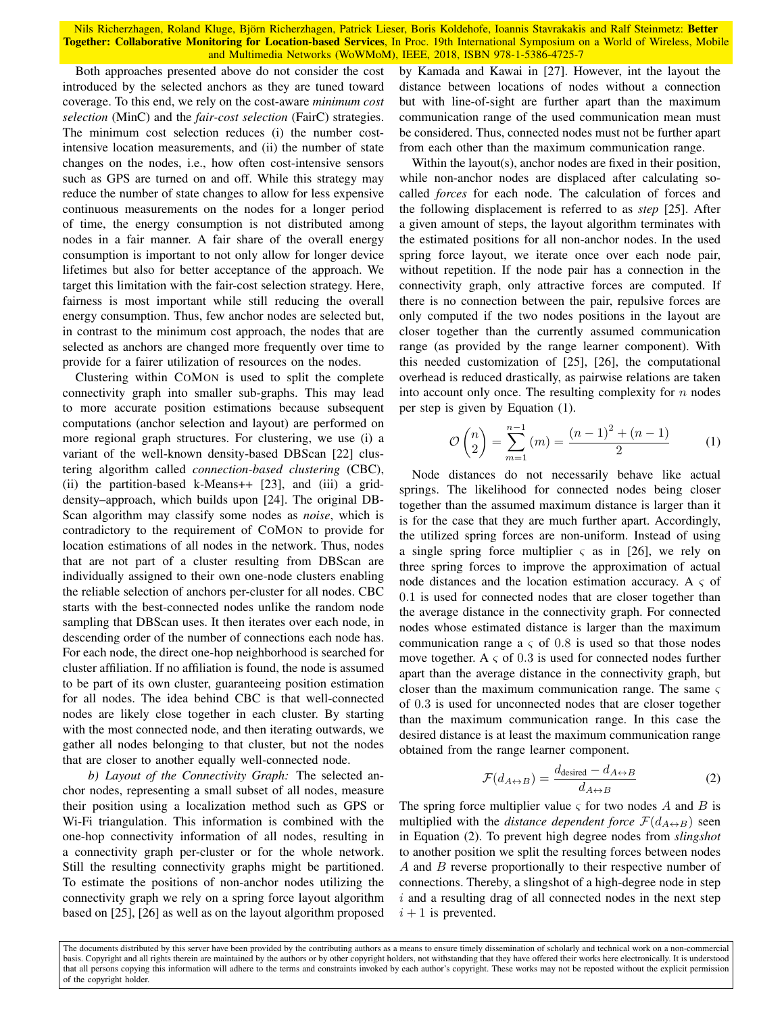Both approaches presented above do not consider the cost introduced by the selected anchors as they are tuned toward coverage. To this end, we rely on the cost-aware *minimum cost selection* (MinC) and the *fair-cost selection* (FairC) strategies. The minimum cost selection reduces (i) the number costintensive location measurements, and (ii) the number of state changes on the nodes, i.e., how often cost-intensive sensors such as GPS are turned on and off. While this strategy may reduce the number of state changes to allow for less expensive continuous measurements on the nodes for a longer period of time, the energy consumption is not distributed among nodes in a fair manner. A fair share of the overall energy consumption is important to not only allow for longer device lifetimes but also for better acceptance of the approach. We target this limitation with the fair-cost selection strategy. Here, fairness is most important while still reducing the overall energy consumption. Thus, few anchor nodes are selected but, in contrast to the minimum cost approach, the nodes that are selected as anchors are changed more frequently over time to provide for a fairer utilization of resources on the nodes.

Clustering within COMON is used to split the complete connectivity graph into smaller sub-graphs. This may lead to more accurate position estimations because subsequent computations (anchor selection and layout) are performed on more regional graph structures. For clustering, we use (i) a variant of the well-known density-based DBScan [22] clustering algorithm called *connection-based clustering* (CBC), (ii) the partition-based k-Means++ [23], and (iii) a griddensity–approach, which builds upon [24]. The original DB-Scan algorithm may classify some nodes as *noise*, which is contradictory to the requirement of COMON to provide for location estimations of all nodes in the network. Thus, nodes that are not part of a cluster resulting from DBScan are individually assigned to their own one-node clusters enabling the reliable selection of anchors per-cluster for all nodes. CBC starts with the best-connected nodes unlike the random node sampling that DBScan uses. It then iterates over each node, in descending order of the number of connections each node has. For each node, the direct one-hop neighborhood is searched for cluster affiliation. If no affiliation is found, the node is assumed to be part of its own cluster, guaranteeing position estimation for all nodes. The idea behind CBC is that well-connected nodes are likely close together in each cluster. By starting with the most connected node, and then iterating outwards, we gather all nodes belonging to that cluster, but not the nodes that are closer to another equally well-connected node.

*b) Layout of the Connectivity Graph:* The selected anchor nodes, representing a small subset of all nodes, measure their position using a localization method such as GPS or Wi-Fi triangulation. This information is combined with the one-hop connectivity information of all nodes, resulting in a connectivity graph per-cluster or for the whole network. Still the resulting connectivity graphs might be partitioned. To estimate the positions of non-anchor nodes utilizing the connectivity graph we rely on a spring force layout algorithm based on [25], [26] as well as on the layout algorithm proposed by Kamada and Kawai in [27]. However, int the layout the distance between locations of nodes without a connection but with line-of-sight are further apart than the maximum communication range of the used communication mean must be considered. Thus, connected nodes must not be further apart from each other than the maximum communication range.

Within the layout(s), anchor nodes are fixed in their position, while non-anchor nodes are displaced after calculating socalled *forces* for each node. The calculation of forces and the following displacement is referred to as *step* [25]. After a given amount of steps, the layout algorithm terminates with the estimated positions for all non-anchor nodes. In the used spring force layout, we iterate once over each node pair, without repetition. If the node pair has a connection in the connectivity graph, only attractive forces are computed. If there is no connection between the pair, repulsive forces are only computed if the two nodes positions in the layout are closer together than the currently assumed communication range (as provided by the range learner component). With this needed customization of [25], [26], the computational overhead is reduced drastically, as pairwise relations are taken into account only once. The resulting complexity for  $n$  nodes per step is given by Equation (1).

$$
\mathcal{O}\binom{n}{2} = \sum_{m=1}^{n-1} (m) = \frac{(n-1)^2 + (n-1)}{2} \tag{1}
$$

Node distances do not necessarily behave like actual springs. The likelihood for connected nodes being closer together than the assumed maximum distance is larger than it is for the case that they are much further apart. Accordingly, the utilized spring forces are non-uniform. Instead of using a single spring force multiplier  $\zeta$  as in [26], we rely on three spring forces to improve the approximation of actual node distances and the location estimation accuracy. A  $\varsigma$  of 0.1 is used for connected nodes that are closer together than the average distance in the connectivity graph. For connected nodes whose estimated distance is larger than the maximum communication range a  $\varsigma$  of 0.8 is used so that those nodes move together. A  $\varsigma$  of 0.3 is used for connected nodes further apart than the average distance in the connectivity graph, but closer than the maximum communication range. The same  $\varsigma$ of 0.3 is used for unconnected nodes that are closer together than the maximum communication range. In this case the desired distance is at least the maximum communication range obtained from the range learner component.

$$
\mathcal{F}(d_{A \leftrightarrow B}) = \frac{d_{\text{desired}} - d_{A \leftrightarrow B}}{d_{A \leftrightarrow B}}
$$
 (2)

The spring force multiplier value  $\varsigma$  for two nodes A and B is multiplied with the *distance dependent force*  $\mathcal{F}(d_{A\leftrightarrow B})$  seen in Equation (2). To prevent high degree nodes from *slingshot* to another position we split the resulting forces between nodes A and B reverse proportionally to their respective number of connections. Thereby, a slingshot of a high-degree node in step  $i$  and a resulting drag of all connected nodes in the next step  $i + 1$  is prevented.

The documents distributed by this server have been provided by the contributing authors as a means to ensure timely dissemination of scholarly and technical work on a non-commercial basis. Copyright and all rights therein are maintained by the authors or by other copyright holders, not withstanding that they have offered their works here electronically. It is understood that all persons copying this information will adhere to the terms and constraints invoked by each author's copyright. These works may not be reposted without the explicit permission of the copyright holder.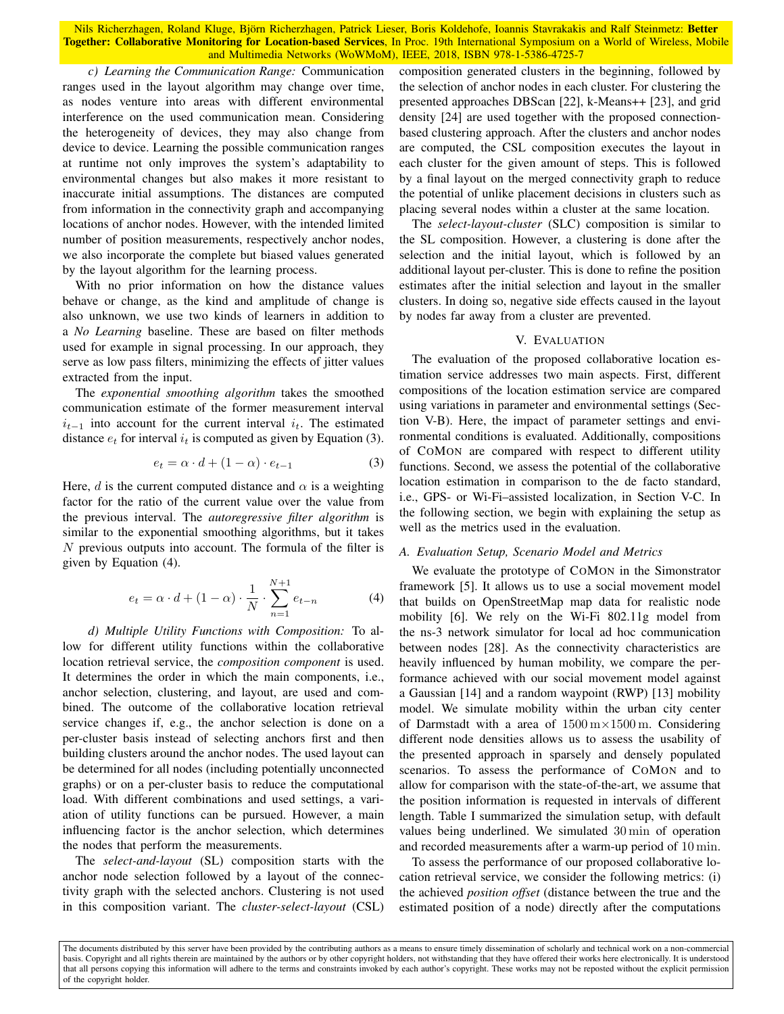*c) Learning the Communication Range:* Communication ranges used in the layout algorithm may change over time, as nodes venture into areas with different environmental interference on the used communication mean. Considering the heterogeneity of devices, they may also change from device to device. Learning the possible communication ranges at runtime not only improves the system's adaptability to environmental changes but also makes it more resistant to inaccurate initial assumptions. The distances are computed from information in the connectivity graph and accompanying locations of anchor nodes. However, with the intended limited number of position measurements, respectively anchor nodes, we also incorporate the complete but biased values generated by the layout algorithm for the learning process.

With no prior information on how the distance values behave or change, as the kind and amplitude of change is also unknown, we use two kinds of learners in addition to a *No Learning* baseline. These are based on filter methods used for example in signal processing. In our approach, they serve as low pass filters, minimizing the effects of jitter values extracted from the input.

The *exponential smoothing algorithm* takes the smoothed communication estimate of the former measurement interval  $i_{t-1}$  into account for the current interval  $i_t$ . The estimated distance  $e_t$  for interval  $i_t$  is computed as given by Equation (3).

$$
e_t = \alpha \cdot d + (1 - \alpha) \cdot e_{t-1} \tag{3}
$$

Here, d is the current computed distance and  $\alpha$  is a weighting factor for the ratio of the current value over the value from the previous interval. The *autoregressive filter algorithm* is similar to the exponential smoothing algorithms, but it takes  $N$  previous outputs into account. The formula of the filter is given by Equation (4).

$$
e_t = \alpha \cdot d + (1 - \alpha) \cdot \frac{1}{N} \cdot \sum_{n=1}^{N+1} e_{t-n}
$$
 (4)

*d) Multiple Utility Functions with Composition:* To allow for different utility functions within the collaborative location retrieval service, the *composition component* is used. It determines the order in which the main components, i.e., anchor selection, clustering, and layout, are used and combined. The outcome of the collaborative location retrieval service changes if, e.g., the anchor selection is done on a per-cluster basis instead of selecting anchors first and then building clusters around the anchor nodes. The used layout can be determined for all nodes (including potentially unconnected graphs) or on a per-cluster basis to reduce the computational load. With different combinations and used settings, a variation of utility functions can be pursued. However, a main influencing factor is the anchor selection, which determines the nodes that perform the measurements.

The *select-and-layout* (SL) composition starts with the anchor node selection followed by a layout of the connectivity graph with the selected anchors. Clustering is not used in this composition variant. The *cluster-select-layout* (CSL) composition generated clusters in the beginning, followed by the selection of anchor nodes in each cluster. For clustering the presented approaches DBScan [22], k-Means++ [23], and grid density [24] are used together with the proposed connectionbased clustering approach. After the clusters and anchor nodes are computed, the CSL composition executes the layout in each cluster for the given amount of steps. This is followed by a final layout on the merged connectivity graph to reduce the potential of unlike placement decisions in clusters such as placing several nodes within a cluster at the same location.

The *select-layout-cluster* (SLC) composition is similar to the SL composition. However, a clustering is done after the selection and the initial layout, which is followed by an additional layout per-cluster. This is done to refine the position estimates after the initial selection and layout in the smaller clusters. In doing so, negative side effects caused in the layout by nodes far away from a cluster are prevented.

# V. EVALUATION

The evaluation of the proposed collaborative location estimation service addresses two main aspects. First, different compositions of the location estimation service are compared using variations in parameter and environmental settings (Section V-B). Here, the impact of parameter settings and environmental conditions is evaluated. Additionally, compositions of COMON are compared with respect to different utility functions. Second, we assess the potential of the collaborative location estimation in comparison to the de facto standard, i.e., GPS- or Wi-Fi–assisted localization, in Section V-C. In the following section, we begin with explaining the setup as well as the metrics used in the evaluation.

# *A. Evaluation Setup, Scenario Model and Metrics*

We evaluate the prototype of COMON in the Simonstrator framework [5]. It allows us to use a social movement model that builds on OpenStreetMap map data for realistic node mobility [6]. We rely on the Wi-Fi 802.11g model from the ns-3 network simulator for local ad hoc communication between nodes [28]. As the connectivity characteristics are heavily influenced by human mobility, we compare the performance achieved with our social movement model against a Gaussian [14] and a random waypoint (RWP) [13] mobility model. We simulate mobility within the urban city center of Darmstadt with a area of  $1500 \text{ m} \times 1500 \text{ m}$ . Considering different node densities allows us to assess the usability of the presented approach in sparsely and densely populated scenarios. To assess the performance of COMON and to allow for comparison with the state-of-the-art, we assume that the position information is requested in intervals of different length. Table I summarized the simulation setup, with default values being underlined. We simulated 30 min of operation and recorded measurements after a warm-up period of 10 min.

To assess the performance of our proposed collaborative location retrieval service, we consider the following metrics: (i) the achieved *position offset* (distance between the true and the estimated position of a node) directly after the computations

The documents distributed by this server have been provided by the contributing authors as a means to ensure timely dissemination of scholarly and technical work on a non-commercial basis. Copyright and all rights therein are maintained by the authors or by other copyright holders, not withstanding that they have offered their works here electronically. It is understood that all persons copying this information will adhere to the terms and constraints invoked by each author's copyright. These works may not be reposted without the explicit permission of the copyright holder.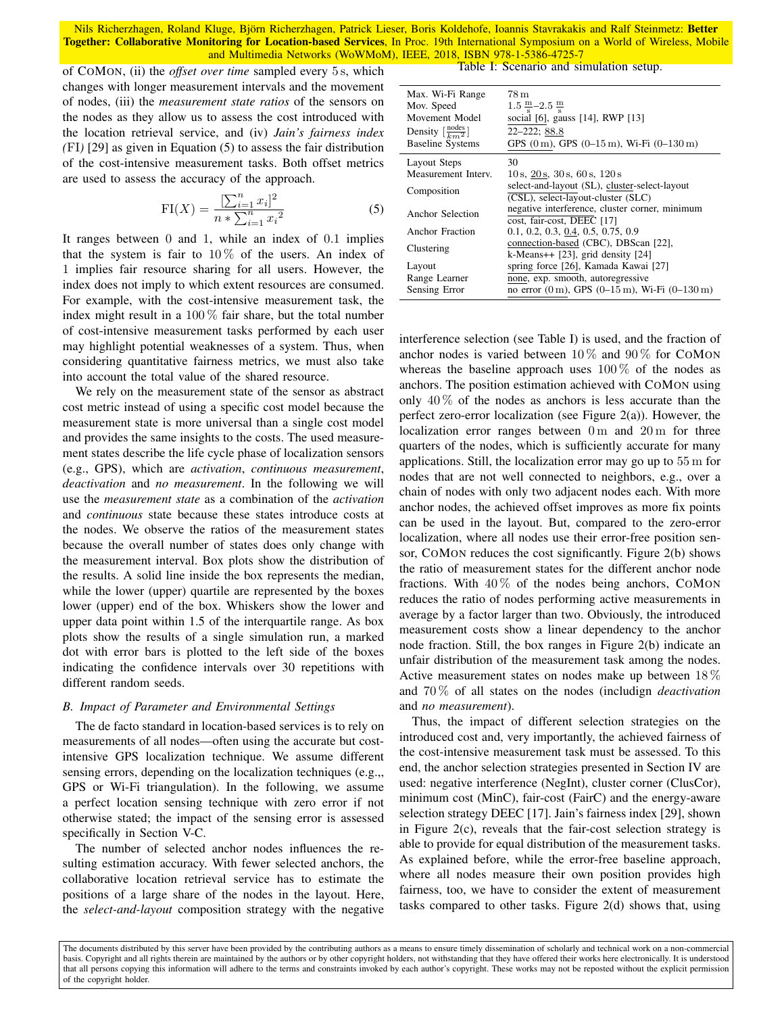of COMON, (ii) the *offset over time* sampled every 5 s, which changes with longer measurement intervals and the movement of nodes, (iii) the *measurement state ratios* of the sensors on the nodes as they allow us to assess the cost introduced with the location retrieval service, and (iv) *Jain's fairness index (*FI*)* [29] as given in Equation (5) to assess the fair distribution of the cost-intensive measurement tasks. Both offset metrics are used to assess the accuracy of the approach.

$$
\text{FI}(X) = \frac{\left[\sum_{i=1}^{n} x_i\right]^2}{n * \sum_{i=1}^{n} x_i^2}
$$
\n(5)

It ranges between 0 and 1, while an index of 0.1 implies that the system is fair to  $10\%$  of the users. An index of 1 implies fair resource sharing for all users. However, the index does not imply to which extent resources are consumed. For example, with the cost-intensive measurement task, the index might result in a  $100\%$  fair share, but the total number of cost-intensive measurement tasks performed by each user may highlight potential weaknesses of a system. Thus, when considering quantitative fairness metrics, we must also take into account the total value of the shared resource.

We rely on the measurement state of the sensor as abstract cost metric instead of using a specific cost model because the measurement state is more universal than a single cost model and provides the same insights to the costs. The used measurement states describe the life cycle phase of localization sensors (e.g., GPS), which are *activation*, *continuous measurement*, *deactivation* and *no measurement*. In the following we will use the *measurement state* as a combination of the *activation* and *continuous* state because these states introduce costs at the nodes. We observe the ratios of the measurement states because the overall number of states does only change with the measurement interval. Box plots show the distribution of the results. A solid line inside the box represents the median, while the lower (upper) quartile are represented by the boxes lower (upper) end of the box. Whiskers show the lower and upper data point within 1.5 of the interquartile range. As box plots show the results of a single simulation run, a marked dot with error bars is plotted to the left side of the boxes indicating the confidence intervals over 30 repetitions with different random seeds.

# *B. Impact of Parameter and Environmental Settings*

The de facto standard in location-based services is to rely on measurements of all nodes—often using the accurate but costintensive GPS localization technique. We assume different sensing errors, depending on the localization techniques (e.g.,, GPS or Wi-Fi triangulation). In the following, we assume a perfect location sensing technique with zero error if not otherwise stated; the impact of the sensing error is assessed specifically in Section V-C.

The number of selected anchor nodes influences the resulting estimation accuracy. With fewer selected anchors, the collaborative location retrieval service has to estimate the positions of a large share of the nodes in the layout. Here, the *select-and-layout* composition strategy with the negative

Table I: Scenario and simulation setup.

| Max. Wi-Fi Range<br>Mov. Speed<br>Movement Model<br>Density $\left[\frac{\text{nodes}}{\text{k}m^2}\right]$<br><b>Baseline Systems</b> | 78 <sub>m</sub><br>$1.5 \frac{\text{m}}{\text{s}} - 2.5 \frac{\text{m}}{\text{s}}$<br>social [6], gauss [14], RWP [13]<br>$22 - 222$ ; 88.8<br>GPS $(0 \text{ m})$ , GPS $(0-15 \text{ m})$ , Wi-Fi $(0-130 \text{ m})$ |
|----------------------------------------------------------------------------------------------------------------------------------------|-------------------------------------------------------------------------------------------------------------------------------------------------------------------------------------------------------------------------|
| Layout Steps                                                                                                                           | 30                                                                                                                                                                                                                      |
| Measurement Interv.                                                                                                                    | $10 s$ , $20 s$ , $30 s$ , $60 s$ , $120 s$                                                                                                                                                                             |
| Composition                                                                                                                            | select-and-layout (SL), cluster-select-layout                                                                                                                                                                           |
|                                                                                                                                        | (CSL), select-layout-cluster (SLC)                                                                                                                                                                                      |
| Anchor Selection                                                                                                                       | negative interference, cluster corner, minimum                                                                                                                                                                          |
|                                                                                                                                        | cost, fair-cost, DEEC [17]                                                                                                                                                                                              |
| Anchor Fraction                                                                                                                        | 0.1, 0.2, 0.3, 0.4, 0.5, 0.75, 0.9                                                                                                                                                                                      |
| Clustering                                                                                                                             | connection-based (CBC), DBScan [22],                                                                                                                                                                                    |
|                                                                                                                                        | k-Means++ $[23]$ , grid density $[24]$                                                                                                                                                                                  |
| Layout                                                                                                                                 | spring force [26], Kamada Kawai [27]                                                                                                                                                                                    |
| Range Learner                                                                                                                          | none, exp. smooth, autoregressive                                                                                                                                                                                       |
| Sensing Error                                                                                                                          | no error $(0 \text{ m})$ , GPS $(0-15 \text{ m})$ , Wi-Fi $(0-130 \text{ m})$                                                                                                                                           |

interference selection (see Table I) is used, and the fraction of anchor nodes is varied between  $10\%$  and  $90\%$  for COMON whereas the baseline approach uses  $100\%$  of the nodes as anchors. The position estimation achieved with COMON using only  $40\%$  of the nodes as anchors is less accurate than the perfect zero-error localization (see Figure 2(a)). However, the localization error ranges between  $0 \text{ m}$  and  $20 \text{ m}$  for three quarters of the nodes, which is sufficiently accurate for many applications. Still, the localization error may go up to 55 m for nodes that are not well connected to neighbors, e.g., over a chain of nodes with only two adjacent nodes each. With more anchor nodes, the achieved offset improves as more fix points can be used in the layout. But, compared to the zero-error localization, where all nodes use their error-free position sensor, COMON reduces the cost significantly. Figure 2(b) shows the ratio of measurement states for the different anchor node fractions. With  $40\%$  of the nodes being anchors, COMON reduces the ratio of nodes performing active measurements in average by a factor larger than two. Obviously, the introduced measurement costs show a linear dependency to the anchor node fraction. Still, the box ranges in Figure 2(b) indicate an unfair distribution of the measurement task among the nodes. Active measurement states on nodes make up between 18 % and 70 % of all states on the nodes (includign *deactivation* and *no measurement*).

Thus, the impact of different selection strategies on the introduced cost and, very importantly, the achieved fairness of the cost-intensive measurement task must be assessed. To this end, the anchor selection strategies presented in Section IV are used: negative interference (NegInt), cluster corner (ClusCor), minimum cost (MinC), fair-cost (FairC) and the energy-aware selection strategy DEEC [17]. Jain's fairness index [29], shown in Figure 2(c), reveals that the fair-cost selection strategy is able to provide for equal distribution of the measurement tasks. As explained before, while the error-free baseline approach, where all nodes measure their own position provides high fairness, too, we have to consider the extent of measurement tasks compared to other tasks. Figure 2(d) shows that, using

The documents distributed by this server have been provided by the contributing authors as a means to ensure timely dissemination of scholarly and technical work on a non-commercial basis. Copyright and all rights therein are maintained by the authors or by other copyright holders, not withstanding that they have offered their works here electronically. It is understood that all persons copying this information will adhere to the terms and constraints invoked by each author's copyright. These works may not be reposted without the explicit permission of the copyright holder.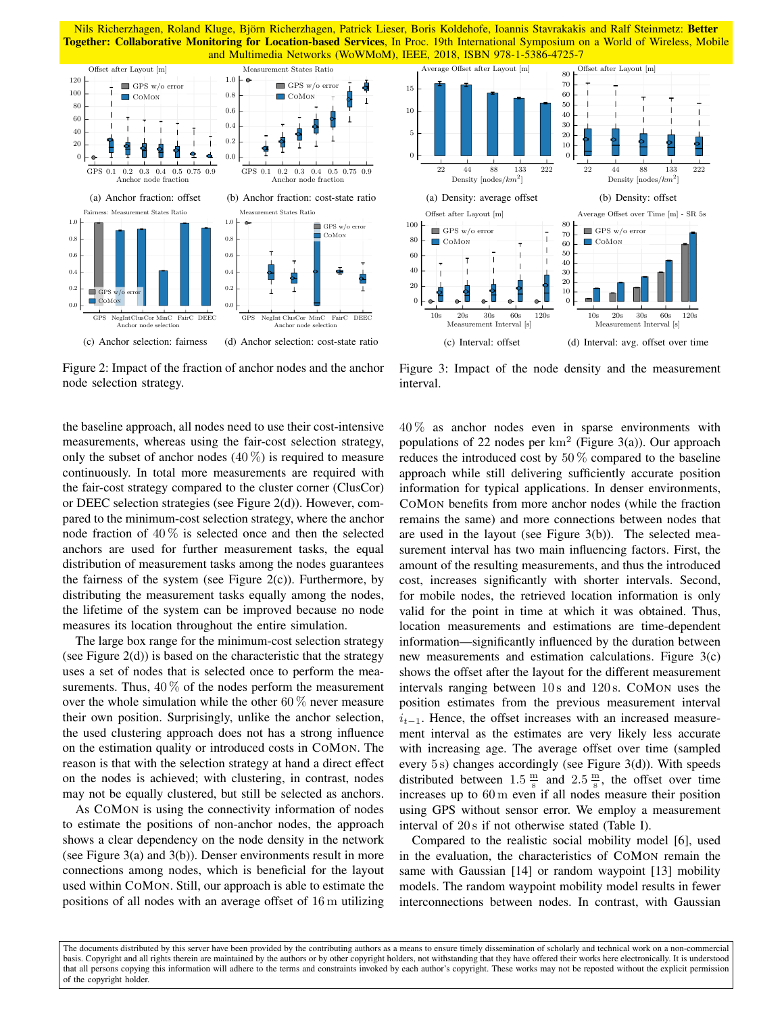

Figure 2: Impact of the fraction of anchor nodes and the anchor node selection strategy.

the baseline approach, all nodes need to use their cost-intensive measurements, whereas using the fair-cost selection strategy, only the subset of anchor nodes  $(40\%)$  is required to measure continuously. In total more measurements are required with the fair-cost strategy compared to the cluster corner (ClusCor) or DEEC selection strategies (see Figure 2(d)). However, compared to the minimum-cost selection strategy, where the anchor node fraction of  $40\%$  is selected once and then the selected anchors are used for further measurement tasks, the equal distribution of measurement tasks among the nodes guarantees the fairness of the system (see Figure  $2(c)$ ). Furthermore, by distributing the measurement tasks equally among the nodes, the lifetime of the system can be improved because no node measures its location throughout the entire simulation.

The large box range for the minimum-cost selection strategy (see Figure  $2(d)$ ) is based on the characteristic that the strategy uses a set of nodes that is selected once to perform the measurements. Thus,  $40\%$  of the nodes perform the measurement over the whole simulation while the other 60  $\%$  never measure their own position. Surprisingly, unlike the anchor selection, the used clustering approach does not has a strong influence on the estimation quality or introduced costs in COMON. The reason is that with the selection strategy at hand a direct effect on the nodes is achieved; with clustering, in contrast, nodes may not be equally clustered, but still be selected as anchors.

As COMON is using the connectivity information of nodes to estimate the positions of non-anchor nodes, the approach shows a clear dependency on the node density in the network (see Figure 3(a) and 3(b)). Denser environments result in more connections among nodes, which is beneficial for the layout used within COMON. Still, our approach is able to estimate the positions of all nodes with an average offset of 16 m utilizing



Figure 3: Impact of the node density and the measurement interval.

 $40\%$  as anchor nodes even in sparse environments with populations of 22 nodes per  $km^2$  (Figure 3(a)). Our approach reduces the introduced cost by 50 % compared to the baseline approach while still delivering sufficiently accurate position information for typical applications. In denser environments, COMON benefits from more anchor nodes (while the fraction remains the same) and more connections between nodes that are used in the layout (see Figure 3(b)). The selected measurement interval has two main influencing factors. First, the amount of the resulting measurements, and thus the introduced cost, increases significantly with shorter intervals. Second, for mobile nodes, the retrieved location information is only valid for the point in time at which it was obtained. Thus, location measurements and estimations are time-dependent information—significantly influenced by the duration between new measurements and estimation calculations. Figure 3(c) shows the offset after the layout for the different measurement intervals ranging between 10s and 120s. COMON uses the position estimates from the previous measurement interval  $i_{t-1}$ . Hence, the offset increases with an increased measurement interval as the estimates are very likely less accurate with increasing age. The average offset over time (sampled every 5 s) changes accordingly (see Figure 3(d)). With speeds distributed between  $1.5\frac{\text{m}}{\text{s}}$  and  $2.5\frac{\text{m}}{\text{s}}$ , the offset over time increases up to 60 m even if all nodes measure their position using GPS without sensor error. We employ a measurement interval of 20 s if not otherwise stated (Table I).

Compared to the realistic social mobility model [6], used in the evaluation, the characteristics of COMON remain the same with Gaussian [14] or random waypoint [13] mobility models. The random waypoint mobility model results in fewer interconnections between nodes. In contrast, with Gaussian

The documents distributed by this server have been provided by the contributing authors as a means to ensure timely dissemination of scholarly and technical work on a non-commercial basis. Copyright and all rights therein are maintained by the authors or by other copyright holders, not withstanding that they have offered their works here electronically. It is understood that all persons copying this information will adhere to the terms and constraints invoked by each author's copyright. These works may not be reposted without the explicit permission of the copyright holder.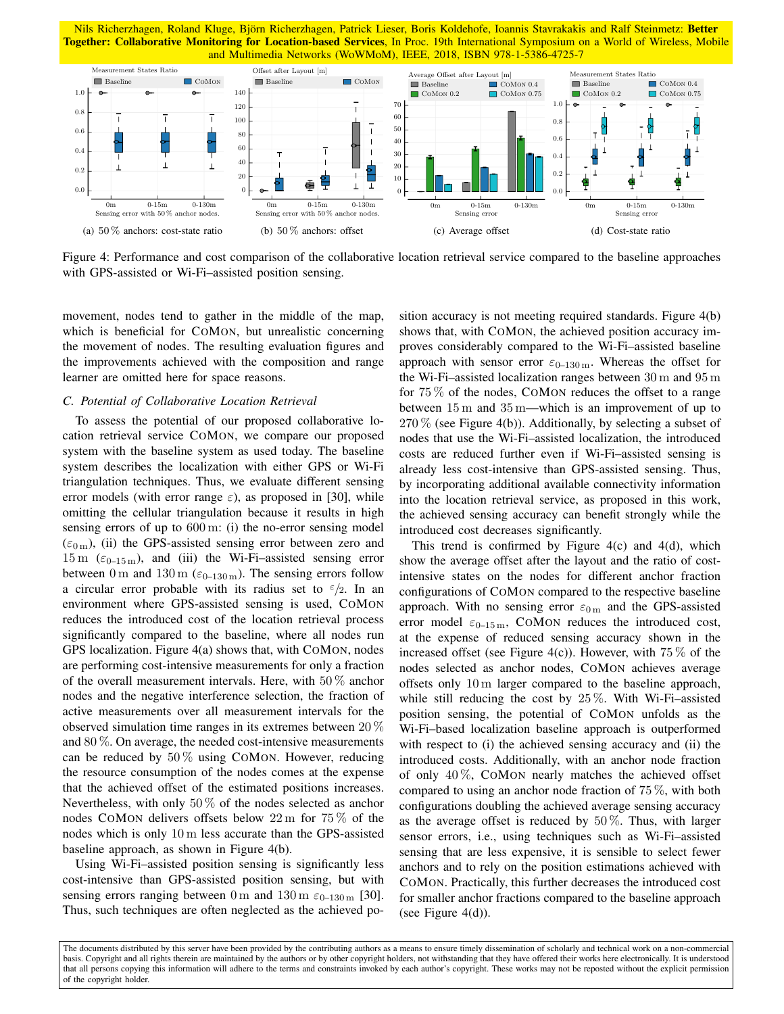

Figure 4: Performance and cost comparison of the collaborative location retrieval service compared to the baseline approaches with GPS-assisted or Wi-Fi–assisted position sensing.

movement, nodes tend to gather in the middle of the map, which is beneficial for COMON, but unrealistic concerning the movement of nodes. The resulting evaluation figures and the improvements achieved with the composition and range learner are omitted here for space reasons.

#### *C. Potential of Collaborative Location Retrieval*

To assess the potential of our proposed collaborative location retrieval service COMON, we compare our proposed system with the baseline system as used today. The baseline system describes the localization with either GPS or Wi-Fi triangulation techniques. Thus, we evaluate different sensing error models (with error range  $\varepsilon$ ), as proposed in [30], while omitting the cellular triangulation because it results in high sensing errors of up to 600 m: (i) the no-error sensing model  $(\varepsilon_{0\,\rm m})$ , (ii) the GPS-assisted sensing error between zero and  $15 \text{ m}$  ( $\varepsilon_{0-15 \text{ m}}$ ), and (iii) the Wi-Fi-assisted sensing error between 0 m and  $130 \text{ m } (\varepsilon_{0-130 \text{ m}})$ . The sensing errors follow a circular error probable with its radius set to  $\epsilon/2$ . In an environment where GPS-assisted sensing is used, COMON reduces the introduced cost of the location retrieval process significantly compared to the baseline, where all nodes run GPS localization. Figure 4(a) shows that, with COMON, nodes are performing cost-intensive measurements for only a fraction of the overall measurement intervals. Here, with  $50\%$  anchor nodes and the negative interference selection, the fraction of active measurements over all measurement intervals for the observed simulation time ranges in its extremes between 20 % and 80 %. On average, the needed cost-intensive measurements can be reduced by  $50\%$  using COMON. However, reducing the resource consumption of the nodes comes at the expense that the achieved offset of the estimated positions increases. Nevertheless, with only 50  $\%$  of the nodes selected as anchor nodes COMON delivers offsets below  $22 \text{ m}$  for  $75\%$  of the nodes which is only 10 m less accurate than the GPS-assisted baseline approach, as shown in Figure 4(b).

Using Wi-Fi–assisted position sensing is significantly less cost-intensive than GPS-assisted position sensing, but with sensing errors ranging between 0 m and  $130 \text{ m } \varepsilon_{0-130 \text{ m}}$  [30]. Thus, such techniques are often neglected as the achieved po-

sition accuracy is not meeting required standards. Figure 4(b) shows that, with COMON, the achieved position accuracy improves considerably compared to the Wi-Fi–assisted baseline approach with sensor error  $\varepsilon_{0-130 \text{ m}}$ . Whereas the offset for the Wi-Fi–assisted localization ranges between 30 m and 95 m for 75 % of the nodes, COMON reduces the offset to a range between 15 m and 35 m—which is an improvement of up to  $270\%$  (see Figure 4(b)). Additionally, by selecting a subset of nodes that use the Wi-Fi–assisted localization, the introduced costs are reduced further even if Wi-Fi–assisted sensing is already less cost-intensive than GPS-assisted sensing. Thus, by incorporating additional available connectivity information into the location retrieval service, as proposed in this work, the achieved sensing accuracy can benefit strongly while the introduced cost decreases significantly.

This trend is confirmed by Figure  $4(c)$  and  $4(d)$ , which show the average offset after the layout and the ratio of costintensive states on the nodes for different anchor fraction configurations of COMON compared to the respective baseline approach. With no sensing error  $\varepsilon_{0\,\text{m}}$  and the GPS-assisted error model  $\varepsilon_{0-15 \text{ m}}$ , COMON reduces the introduced cost, at the expense of reduced sensing accuracy shown in the increased offset (see Figure 4(c)). However, with  $75\%$  of the nodes selected as anchor nodes, COMON achieves average offsets only 10 m larger compared to the baseline approach, while still reducing the cost by  $25\%$ . With Wi-Fi–assisted position sensing, the potential of COMON unfolds as the Wi-Fi–based localization baseline approach is outperformed with respect to (i) the achieved sensing accuracy and (ii) the introduced costs. Additionally, with an anchor node fraction of only  $40\%$ , COMON nearly matches the achieved offset compared to using an anchor node fraction of 75 %, with both configurations doubling the achieved average sensing accuracy as the average offset is reduced by  $50\%$ . Thus, with larger sensor errors, i.e., using techniques such as Wi-Fi–assisted sensing that are less expensive, it is sensible to select fewer anchors and to rely on the position estimations achieved with COMON. Practically, this further decreases the introduced cost for smaller anchor fractions compared to the baseline approach (see Figure  $4(d)$ ).

The documents distributed by this server have been provided by the contributing authors as a means to ensure timely dissemination of scholarly and technical work on a non-commercial basis. Copyright and all rights therein are maintained by the authors or by other copyright holders, not withstanding that they have offered their works here electronically. It is understood that all persons copying this information will adhere to the terms and constraints invoked by each author's copyright. These works may not be reposted without the explicit permission of the copyright holder.